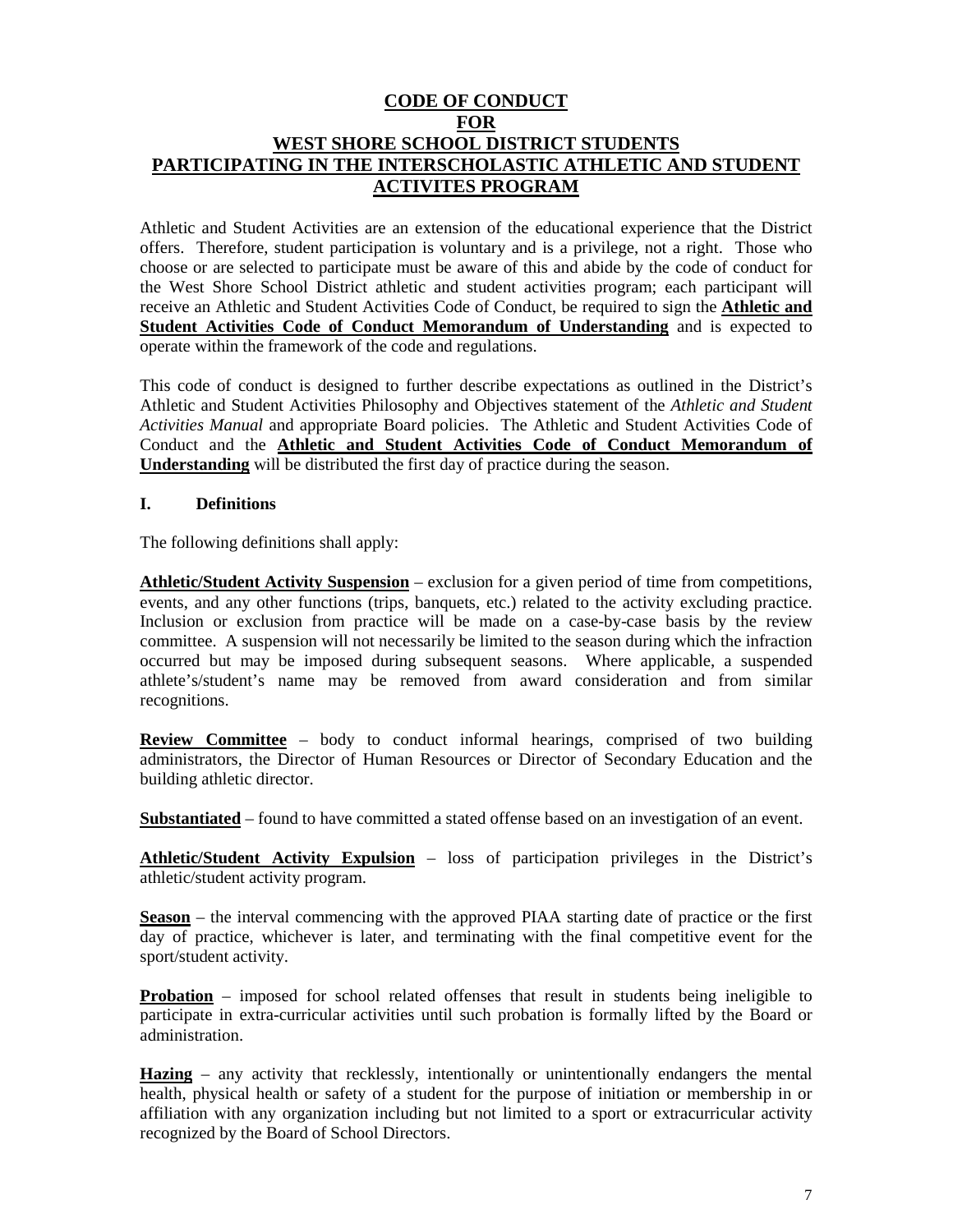## **CODE OF CONDUCT FOR WEST SHORE SCHOOL DISTRICT STUDENTS PARTICIPATING IN THE INTERSCHOLASTIC ATHLETIC AND STUDENT ACTIVITES PROGRAM**

Athletic and Student Activities are an extension of the educational experience that the District offers. Therefore, student participation is voluntary and is a privilege, not a right. Those who choose or are selected to participate must be aware of this and abide by the code of conduct for the West Shore School District athletic and student activities program; each participant will receive an Athletic and Student Activities Code of Conduct, be required to sign the **Athletic and Student Activities Code of Conduct Memorandum of Understanding** and is expected to operate within the framework of the code and regulations.

This code of conduct is designed to further describe expectations as outlined in the District's Athletic and Student Activities Philosophy and Objectives statement of the *Athletic and Student Activities Manual* and appropriate Board policies. The Athletic and Student Activities Code of Conduct and the **Athletic and Student Activities Code of Conduct Memorandum of Understanding** will be distributed the first day of practice during the season.

#### **I. Definitions**

The following definitions shall apply:

**Athletic/Student Activity Suspension** – exclusion for a given period of time from competitions, events, and any other functions (trips, banquets, etc.) related to the activity excluding practice. Inclusion or exclusion from practice will be made on a case-by-case basis by the review committee. A suspension will not necessarily be limited to the season during which the infraction occurred but may be imposed during subsequent seasons. Where applicable, a suspended athlete's/student's name may be removed from award consideration and from similar recognitions.

**Review Committee** – body to conduct informal hearings, comprised of two building administrators, the Director of Human Resources or Director of Secondary Education and the building athletic director.

**Substantiated** – found to have committed a stated offense based on an investigation of an event.

**Athletic/Student Activity Expulsion** – loss of participation privileges in the District's athletic/student activity program.

**Season** – the interval commencing with the approved PIAA starting date of practice or the first day of practice, whichever is later, and terminating with the final competitive event for the sport/student activity.

**Probation** – imposed for school related offenses that result in students being ineligible to participate in extra-curricular activities until such probation is formally lifted by the Board or administration.

**Hazing** – any activity that recklessly, intentionally or unintentionally endangers the mental health, physical health or safety of a student for the purpose of initiation or membership in or affiliation with any organization including but not limited to a sport or extracurricular activity recognized by the Board of School Directors.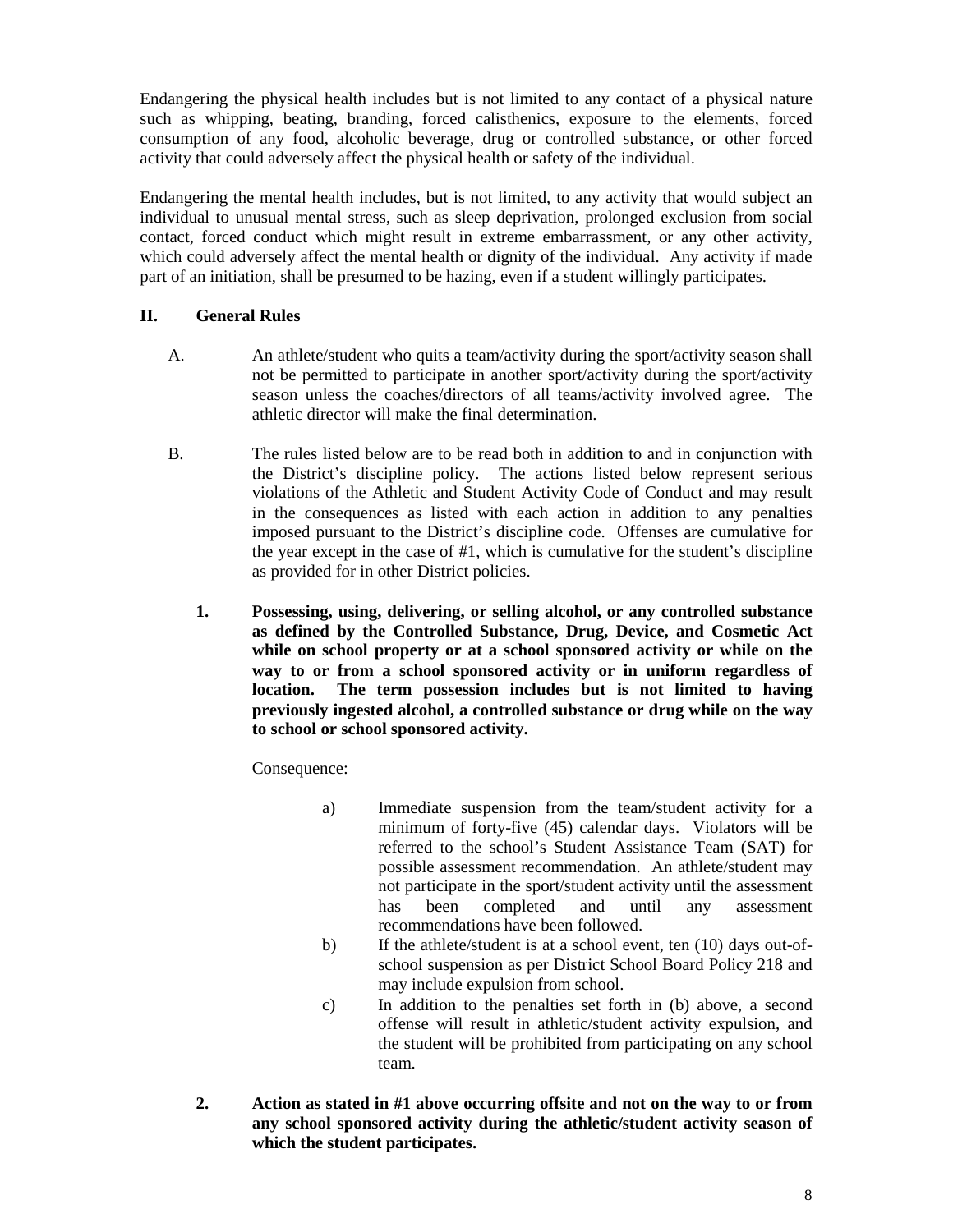Endangering the physical health includes but is not limited to any contact of a physical nature such as whipping, beating, branding, forced calisthenics, exposure to the elements, forced consumption of any food, alcoholic beverage, drug or controlled substance, or other forced activity that could adversely affect the physical health or safety of the individual.

Endangering the mental health includes, but is not limited, to any activity that would subject an individual to unusual mental stress, such as sleep deprivation, prolonged exclusion from social contact, forced conduct which might result in extreme embarrassment, or any other activity, which could adversely affect the mental health or dignity of the individual. Any activity if made part of an initiation, shall be presumed to be hazing, even if a student willingly participates.

### **II. General Rules**

- A. An athlete/student who quits a team/activity during the sport/activity season shall not be permitted to participate in another sport/activity during the sport/activity season unless the coaches/directors of all teams/activity involved agree. The athletic director will make the final determination.
- B. The rules listed below are to be read both in addition to and in conjunction with the District's discipline policy. The actions listed below represent serious violations of the Athletic and Student Activity Code of Conduct and may result in the consequences as listed with each action in addition to any penalties imposed pursuant to the District's discipline code. Offenses are cumulative for the year except in the case of #1, which is cumulative for the student's discipline as provided for in other District policies.
	- **1. Possessing, using, delivering, or selling alcohol, or any controlled substance as defined by the Controlled Substance, Drug, Device, and Cosmetic Act while on school property or at a school sponsored activity or while on the way to or from a school sponsored activity or in uniform regardless of location. The term possession includes but is not limited to having previously ingested alcohol, a controlled substance or drug while on the way to school or school sponsored activity.**

Consequence:

- a) Immediate suspension from the team/student activity for a minimum of forty-five (45) calendar days. Violators will be referred to the school's Student Assistance Team (SAT) for possible assessment recommendation. An athlete/student may not participate in the sport/student activity until the assessment has been completed and until any assessment recommendations have been followed.
- b) If the athlete/student is at a school event, ten (10) days out-ofschool suspension as per District School Board Policy 218 and may include expulsion from school.
- c) In addition to the penalties set forth in (b) above, a second offense will result in athletic/student activity expulsion, and the student will be prohibited from participating on any school team.
- **2. Action as stated in #1 above occurring offsite and not on the way to or from any school sponsored activity during the athletic/student activity season of which the student participates.**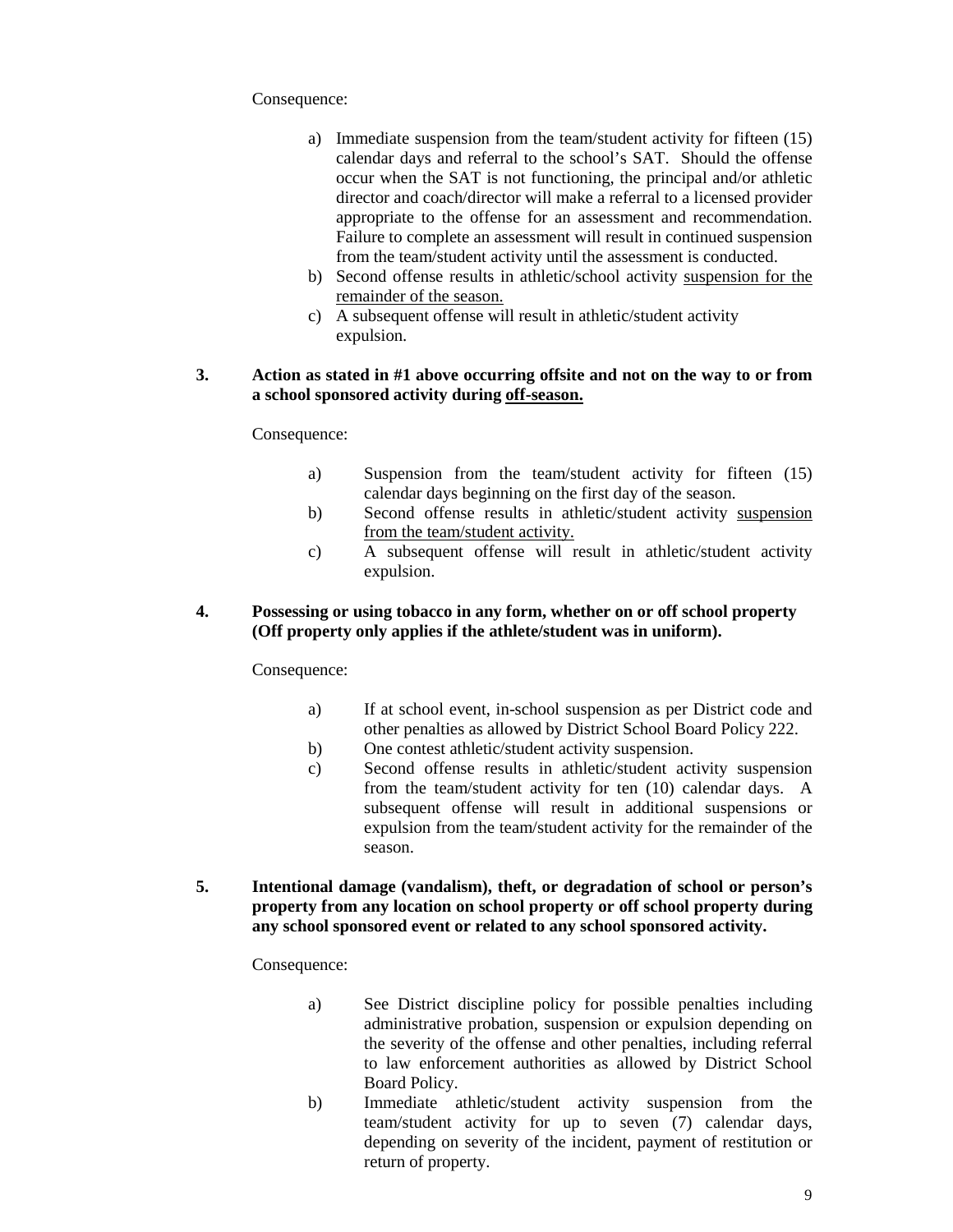Consequence:

- a) Immediate suspension from the team/student activity for fifteen (15) calendar days and referral to the school's SAT. Should the offense occur when the SAT is not functioning, the principal and/or athletic director and coach/director will make a referral to a licensed provider appropriate to the offense for an assessment and recommendation. Failure to complete an assessment will result in continued suspension from the team/student activity until the assessment is conducted.
- b) Second offense results in athletic/school activity suspension for the remainder of the season.
- c) A subsequent offense will result in athletic/student activity expulsion.

#### **3. Action as stated in #1 above occurring offsite and not on the way to or from a school sponsored activity during off-season.**

Consequence:

- a) Suspension from the team/student activity for fifteen (15) calendar days beginning on the first day of the season.
- b) Second offense results in athletic/student activity suspension from the team/student activity.
- c) A subsequent offense will result in athletic/student activity expulsion.

#### **4. Possessing or using tobacco in any form, whether on or off school property (Off property only applies if the athlete/student was in uniform).**

Consequence:

- a) If at school event, in-school suspension as per District code and other penalties as allowed by District School Board Policy 222.
- b) One contest athletic/student activity suspension.
- c) Second offense results in athletic/student activity suspension from the team/student activity for ten (10) calendar days. A subsequent offense will result in additional suspensions or expulsion from the team/student activity for the remainder of the season.
- **5. Intentional damage (vandalism), theft, or degradation of school or person's property from any location on school property or off school property during any school sponsored event or related to any school sponsored activity.**

Consequence:

- a) See District discipline policy for possible penalties including administrative probation, suspension or expulsion depending on the severity of the offense and other penalties, including referral to law enforcement authorities as allowed by District School Board Policy.
- b) Immediate athletic/student activity suspension from the team/student activity for up to seven (7) calendar days, depending on severity of the incident, payment of restitution or return of property.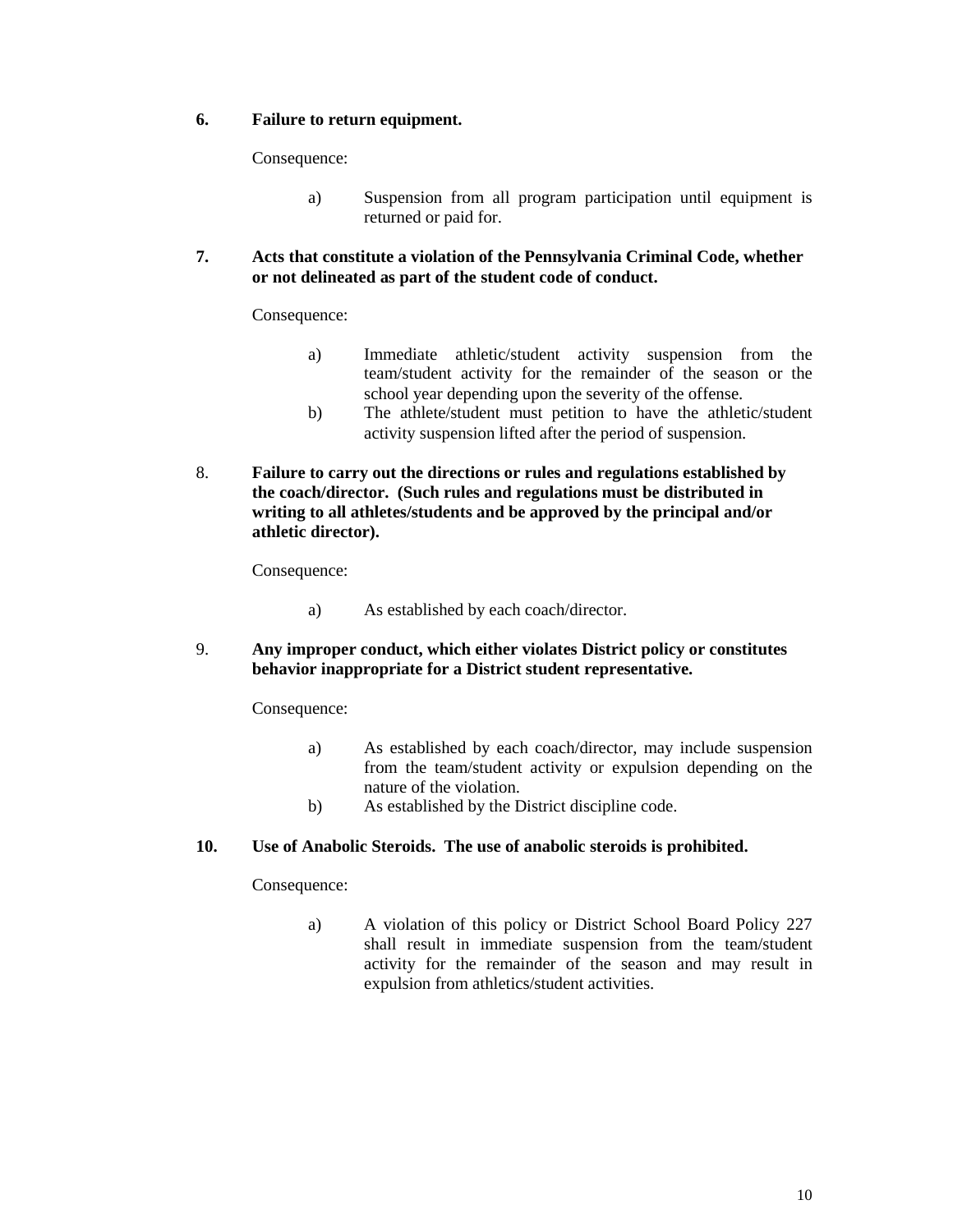#### **6. Failure to return equipment.**

Consequence:

- a) Suspension from all program participation until equipment is returned or paid for.
- **7. Acts that constitute a violation of the Pennsylvania Criminal Code, whether or not delineated as part of the student code of conduct.**

Consequence:

- a) Immediate athletic/student activity suspension from the team/student activity for the remainder of the season or the school year depending upon the severity of the offense.
- b) The athlete/student must petition to have the athletic/student activity suspension lifted after the period of suspension.
- 8. **Failure to carry out the directions or rules and regulations established by the coach/director. (Such rules and regulations must be distributed in writing to all athletes/students and be approved by the principal and/or athletic director).**

Consequence:

- a) As established by each coach/director.
- 9. **Any improper conduct, which either violates District policy or constitutes behavior inappropriate for a District student representative.**

Consequence:

- a) As established by each coach/director, may include suspension from the team/student activity or expulsion depending on the nature of the violation.
- b) As established by the District discipline code.

#### **10. Use of Anabolic Steroids. The use of anabolic steroids is prohibited.**

Consequence:

a) A violation of this policy or District School Board Policy 227 shall result in immediate suspension from the team/student activity for the remainder of the season and may result in expulsion from athletics/student activities.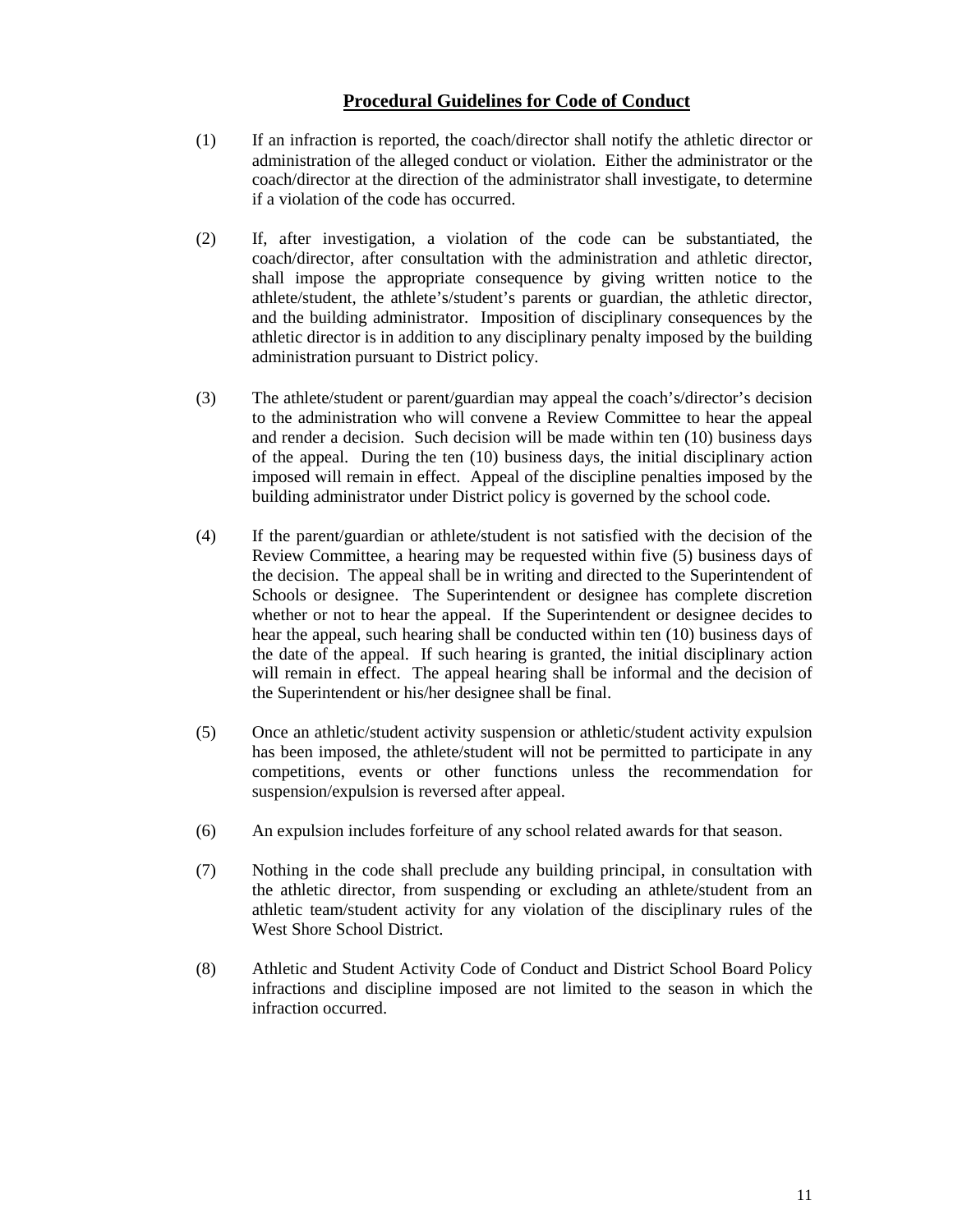### **Procedural Guidelines for Code of Conduct**

- (1) If an infraction is reported, the coach/director shall notify the athletic director or administration of the alleged conduct or violation. Either the administrator or the coach/director at the direction of the administrator shall investigate, to determine if a violation of the code has occurred.
- (2) If, after investigation, a violation of the code can be substantiated, the coach/director, after consultation with the administration and athletic director, shall impose the appropriate consequence by giving written notice to the athlete/student, the athlete's/student's parents or guardian, the athletic director, and the building administrator. Imposition of disciplinary consequences by the athletic director is in addition to any disciplinary penalty imposed by the building administration pursuant to District policy.
- (3) The athlete/student or parent/guardian may appeal the coach's/director's decision to the administration who will convene a Review Committee to hear the appeal and render a decision. Such decision will be made within ten (10) business days of the appeal. During the ten (10) business days, the initial disciplinary action imposed will remain in effect. Appeal of the discipline penalties imposed by the building administrator under District policy is governed by the school code.
- (4) If the parent/guardian or athlete/student is not satisfied with the decision of the Review Committee, a hearing may be requested within five (5) business days of the decision. The appeal shall be in writing and directed to the Superintendent of Schools or designee. The Superintendent or designee has complete discretion whether or not to hear the appeal. If the Superintendent or designee decides to hear the appeal, such hearing shall be conducted within ten (10) business days of the date of the appeal. If such hearing is granted, the initial disciplinary action will remain in effect. The appeal hearing shall be informal and the decision of the Superintendent or his/her designee shall be final.
- (5) Once an athletic/student activity suspension or athletic/student activity expulsion has been imposed, the athlete/student will not be permitted to participate in any competitions, events or other functions unless the recommendation for suspension/expulsion is reversed after appeal.
- (6) An expulsion includes forfeiture of any school related awards for that season.
- (7) Nothing in the code shall preclude any building principal, in consultation with the athletic director, from suspending or excluding an athlete/student from an athletic team/student activity for any violation of the disciplinary rules of the West Shore School District.
- (8) Athletic and Student Activity Code of Conduct and District School Board Policy infractions and discipline imposed are not limited to the season in which the infraction occurred.